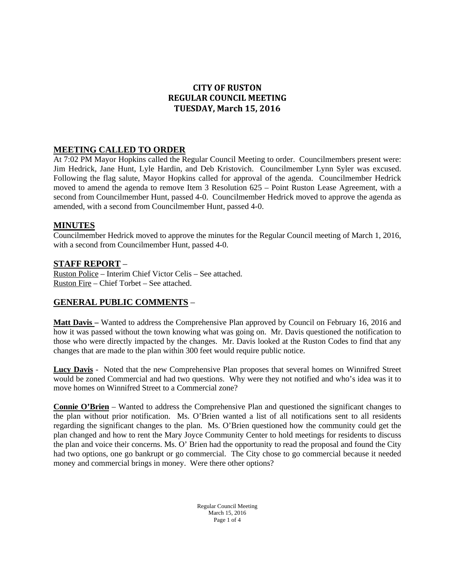# **CITY OF RUSTON REGULAR COUNCIL MEETING TUESDAY, March 15, 2016**

## **MEETING CALLED TO ORDER**

At 7:02 PM Mayor Hopkins called the Regular Council Meeting to order. Councilmembers present were: Jim Hedrick, Jane Hunt, Lyle Hardin, and Deb Kristovich. Councilmember Lynn Syler was excused. Following the flag salute, Mayor Hopkins called for approval of the agenda. Councilmember Hedrick moved to amend the agenda to remove Item 3 Resolution 625 – Point Ruston Lease Agreement, with a second from Councilmember Hunt, passed 4-0. Councilmember Hedrick moved to approve the agenda as amended, with a second from Councilmember Hunt, passed 4-0.

### **MINUTES**

Councilmember Hedrick moved to approve the minutes for the Regular Council meeting of March 1, 2016, with a second from Councilmember Hunt, passed 4-0.

## **STAFF REPORT** –

Ruston Police – Interim Chief Victor Celis – See attached. Ruston Fire – Chief Torbet – See attached.

## **GENERAL PUBLIC COMMENTS** –

**Matt Davis –** Wanted to address the Comprehensive Plan approved by Council on February 16, 2016 and how it was passed without the town knowing what was going on. Mr. Davis questioned the notification to those who were directly impacted by the changes. Mr. Davis looked at the Ruston Codes to find that any changes that are made to the plan within 300 feet would require public notice.

**Lucy Davis** - Noted that the new Comprehensive Plan proposes that several homes on Winnifred Street would be zoned Commercial and had two questions. Why were they not notified and who's idea was it to move homes on Winnifred Street to a Commercial zone?

**Connie O'Brien** – Wanted to address the Comprehensive Plan and questioned the significant changes to the plan without prior notification. Ms. O'Brien wanted a list of all notifications sent to all residents regarding the significant changes to the plan. Ms. O'Brien questioned how the community could get the plan changed and how to rent the Mary Joyce Community Center to hold meetings for residents to discuss the plan and voice their concerns. Ms. O' Brien had the opportunity to read the proposal and found the City had two options, one go bankrupt or go commercial. The City chose to go commercial because it needed money and commercial brings in money. Were there other options?

> Regular Council Meeting March 15, 2016 Page 1 of 4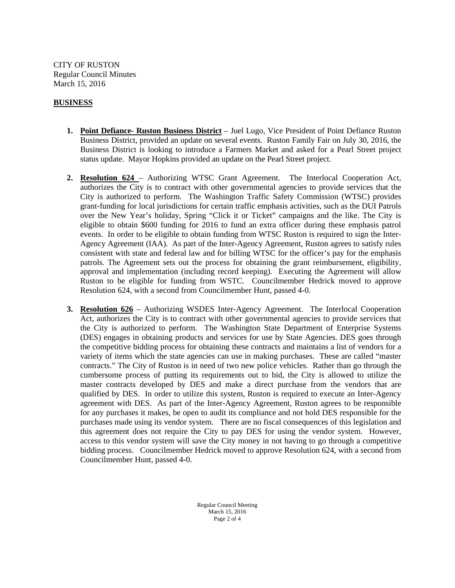CITY OF RUSTON Regular Council Minutes March 15, 2016

### **BUSINESS**

- **1. Point Defiance- Ruston Business District** Juel Lugo, Vice President of Point Defiance Ruston Business District, provided an update on several events. Ruston Family Fair on July 30, 2016, the Business District is looking to introduce a Farmers Market and asked for a Pearl Street project status update. Mayor Hopkins provided an update on the Pearl Street project.
- **2. Resolution 624**  Authorizing WTSC Grant Agreement. The Interlocal Cooperation Act, authorizes the City is to contract with other governmental agencies to provide services that the City is authorized to perform. The Washington Traffic Safety Commission (WTSC) provides grant-funding for local jurisdictions for certain traffic emphasis activities, such as the DUI Patrols over the New Year's holiday, Spring "Click it or Ticket" campaigns and the like. The City is eligible to obtain \$600 funding for 2016 to fund an extra officer during these emphasis patrol events. In order to be eligible to obtain funding from WTSC Ruston is required to sign the Inter-Agency Agreement (IAA). As part of the Inter-Agency Agreement, Ruston agrees to satisfy rules consistent with state and federal law and for billing WTSC for the officer's pay for the emphasis patrols. The Agreement sets out the process for obtaining the grant reimbursement, eligibility, approval and implementation (including record keeping). Executing the Agreement will allow Ruston to be eligible for funding from WSTC. Councilmember Hedrick moved to approve Resolution 624, with a second from Councilmember Hunt, passed 4-0.
- **3. Resolution 626**  Authorizing WSDES Inter-Agency Agreement. The Interlocal Cooperation Act, authorizes the City is to contract with other governmental agencies to provide services that the City is authorized to perform. The Washington State Department of Enterprise Systems (DES) engages in obtaining products and services for use by State Agencies. DES goes through the competitive bidding process for obtaining these contracts and maintains a list of vendors for a variety of items which the state agencies can use in making purchases. These are called "master contracts." The City of Ruston is in need of two new police vehicles. Rather than go through the cumbersome process of putting its requirements out to bid, the City is allowed to utilize the master contracts developed by DES and make a direct purchase from the vendors that are qualified by DES. In order to utilize this system, Ruston is required to execute an Inter-Agency agreement with DES. As part of the Inter-Agency Agreement, Ruston agrees to be responsible for any purchases it makes, be open to audit its compliance and not hold DES responsible for the purchases made using its vendor system. There are no fiscal consequences of this legislation and this agreement does not require the City to pay DES for using the vendor system. However, access to this vendor system will save the City money in not having to go through a competitive bidding process. Councilmember Hedrick moved to approve Resolution 624, with a second from Councilmember Hunt, passed 4-0.

Regular Council Meeting March 15, 2016 Page 2 of 4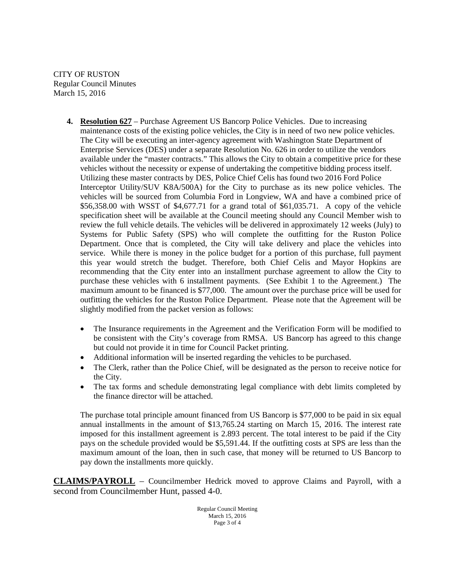CITY OF RUSTON Regular Council Minutes March 15, 2016

- **4. Resolution 627**  Purchase Agreement US Bancorp Police Vehicles. Due to increasing maintenance costs of the existing police vehicles, the City is in need of two new police vehicles. The City will be executing an inter-agency agreement with Washington State Department of Enterprise Services (DES) under a separate Resolution No. 626 in order to utilize the vendors available under the "master contracts." This allows the City to obtain a competitive price for these vehicles without the necessity or expense of undertaking the competitive bidding process itself. Utilizing these master contracts by DES, Police Chief Celis has found two 2016 Ford Police Interceptor Utility/SUV K8A/500A) for the City to purchase as its new police vehicles. The vehicles will be sourced from Columbia Ford in Longview, WA and have a combined price of \$56,358.00 with WSST of \$4,677.71 for a grand total of \$61,035.71. A copy of the vehicle specification sheet will be available at the Council meeting should any Council Member wish to review the full vehicle details. The vehicles will be delivered in approximately 12 weeks (July) to Systems for Public Safety (SPS) who will complete the outfitting for the Ruston Police Department. Once that is completed, the City will take delivery and place the vehicles into service. While there is money in the police budget for a portion of this purchase, full payment this year would stretch the budget. Therefore, both Chief Celis and Mayor Hopkins are recommending that the City enter into an installment purchase agreement to allow the City to purchase these vehicles with 6 installment payments. (See Exhibit 1 to the Agreement.) The maximum amount to be financed is \$77,000. The amount over the purchase price will be used for outfitting the vehicles for the Ruston Police Department. Please note that the Agreement will be slightly modified from the packet version as follows:
	- The Insurance requirements in the Agreement and the Verification Form will be modified to be consistent with the City's coverage from RMSA. US Bancorp has agreed to this change but could not provide it in time for Council Packet printing.
	- Additional information will be inserted regarding the vehicles to be purchased.
	- The Clerk, rather than the Police Chief, will be designated as the person to receive notice for the City.
	- The tax forms and schedule demonstrating legal compliance with debt limits completed by the finance director will be attached.

The purchase total principle amount financed from US Bancorp is \$77,000 to be paid in six equal annual installments in the amount of \$13,765.24 starting on March 15, 2016. The interest rate imposed for this installment agreement is 2.893 percent. The total interest to be paid if the City pays on the schedule provided would be \$5,591.44. If the outfitting costs at SPS are less than the maximum amount of the loan, then in such case, that money will be returned to US Bancorp to pay down the installments more quickly.

**CLAIMS/PAYROLL** – Councilmember Hedrick moved to approve Claims and Payroll, with a second from Councilmember Hunt, passed 4-0.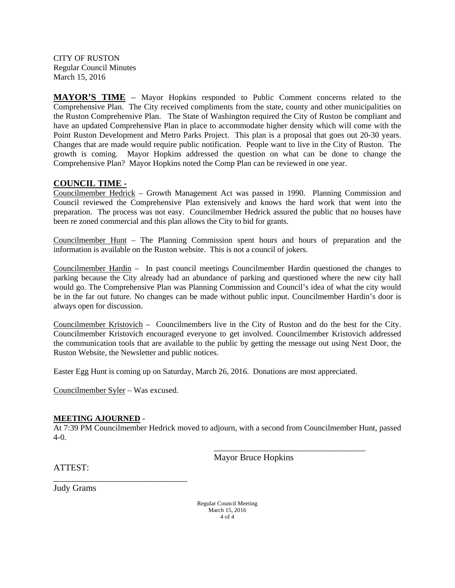CITY OF RUSTON Regular Council Minutes March 15, 2016

**MAYOR'S TIME** – Mayor Hopkins responded to Public Comment concerns related to the Comprehensive Plan. The City received compliments from the state, county and other municipalities on the Ruston Comprehensive Plan. The State of Washington required the City of Ruston be compliant and have an updated Comprehensive Plan in place to accommodate higher density which will come with the Point Ruston Development and Metro Parks Project. This plan is a proposal that goes out 20-30 years. Changes that are made would require public notification. People want to live in the City of Ruston. The growth is coming. Mayor Hopkins addressed the question on what can be done to change the Comprehensive Plan? Mayor Hopkins noted the Comp Plan can be reviewed in one year.

## **COUNCIL TIME -**

Councilmember Hedrick – Growth Management Act was passed in 1990. Planning Commission and Council reviewed the Comprehensive Plan extensively and knows the hard work that went into the preparation. The process was not easy. Councilmember Hedrick assured the public that no houses have been re zoned commercial and this plan allows the City to bid for grants.

Councilmember Hunt – The Planning Commission spent hours and hours of preparation and the information is available on the Ruston website. This is not a council of jokers.

Councilmember Hardin – In past council meetings Councilmember Hardin questioned the changes to parking because the City already had an abundance of parking and questioned where the new city hall would go. The Comprehensive Plan was Planning Commission and Council's idea of what the city would be in the far out future. No changes can be made without public input. Councilmember Hardin's door is always open for discussion.

Councilmember Kristovich – Councilmembers live in the City of Ruston and do the best for the City. Councilmember Kristovich encouraged everyone to get involved. Councilmember Kristovich addressed the communication tools that are available to the public by getting the message out using Next Door, the Ruston Website, the Newsletter and public notices.

Easter Egg Hunt is coming up on Saturday, March 26, 2016. Donations are most appreciated.

Councilmember Syler – Was excused.

\_\_\_\_\_\_\_\_\_\_\_\_\_\_\_\_\_\_\_\_\_\_\_\_\_\_\_\_\_\_

### **MEETING AJOURNED** -

At 7:39 PM Councilmember Hedrick moved to adjourn, with a second from Councilmember Hunt, passed 4-0.

Mayor Bruce Hopkins

\_\_\_\_\_\_\_\_\_\_\_\_\_\_\_\_\_\_\_\_\_\_\_\_\_\_\_\_\_\_\_\_\_\_

ATTEST:

Judy Grams

Regular Council Meeting March 15, 2016 4 of 4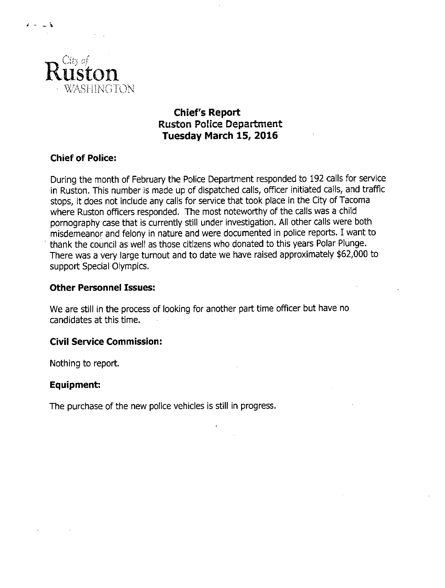

 $\lambda \sim \omega$ 

# **Chief's Report Ruston Police Department** Tuesday March 15, 2016

# **Chief of Police:**

During the month of February the Police Department responded to 192 calls for service in Ruston. This number is made up of dispatched calls, officer initiated calls, and traffic stops, it does not include any calls for service that took place in the City of Tacoma where Ruston officers responded. The most noteworthy of the calls was a child pornography case that is currently still under investigation. All other calls were both misdemeanor and felony in nature and were documented in police reports. I want to thank the council as well as those citizens who donated to this years Polar Plunge. There was a very large turnout and to date we have raised approximately \$62,000 to support Special Olympics.

## **Other Personnel Issues:**

We are still in the process of looking for another part time officer but have no candidates at this time.

# **Civil Service Commission:**

Nothing to report.

# Equipment:

The purchase of the new police vehicles is still in progress.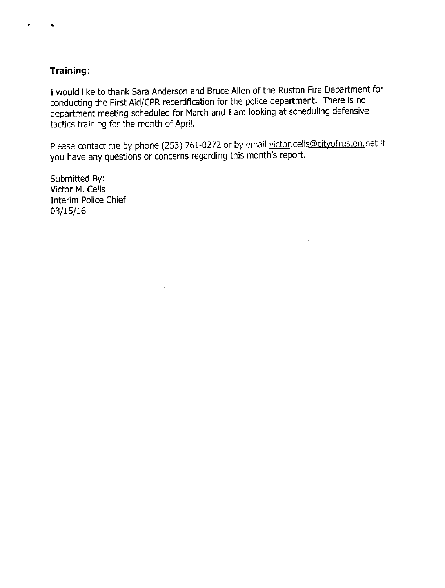# Training:

¥

I would like to thank Sara Anderson and Bruce Allen of the Ruston Fire Department for conducting the First Aid/CPR recertification for the police department. There is no department meeting scheduled for March and I am looking at scheduling defensive tactics training for the month of April.

Please contact me by phone (253) 761-0272 or by email victor.celis@cityofruston.net if you have any questions or concerns regarding this month's report.

 $\mathcal{A}$ 

Submitted By: Victor M. Celis **Interim Police Chief**  $03/15/16$ 

 $\bar{\lambda}$